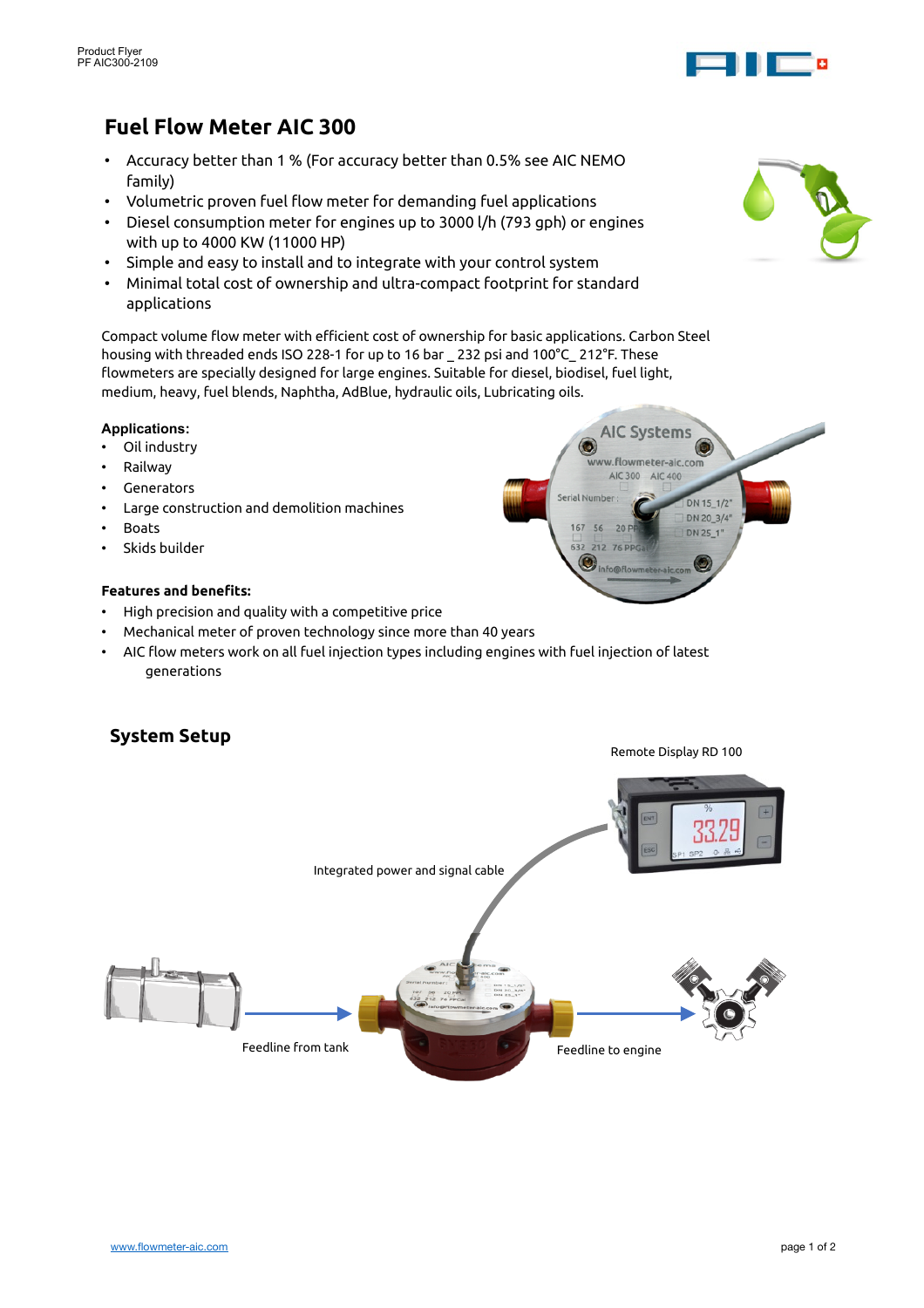

# **Fuel Flow Meter AIC 300**

- Accuracy better than 1 % (For accuracy better than 0.5% see AIC NEMO family)
- Volumetric proven fuel flow meter for demanding fuel applications
- Diesel consumption meter for engines up to 3000 l/h (793 gph) or engines with up to 4000 KW (11000 HP)
- Simple and easy to install and to integrate with your control system
- Minimal total cost of ownership and ultra-compact footprint for standard applications

Compact volume flow meter with efficient cost of ownership for basic applications. Carbon Steel housing with threaded ends ISO 228-1 for up to 16 bar \_ 232 psi and 100°C\_ 212°F. These flowmeters are specially designed for large engines. Suitable for diesel, biodisel, fuel light, medium, heavy, fuel blends, Naphtha, AdBlue, hydraulic oils, Lubricating oils.

#### **Applications:**

- Oil industry
- Railway
- Generators
- Large construction and demolition machines
- **Boats**
- Skids builder

#### **Features and benefits:**

- High precision and quality with a competitive price
- Mechanical meter of proven technology since more than 40 years
- AIC flow meters work on all fuel injection types including engines with fuel injection of latest generations

## **System Setup**